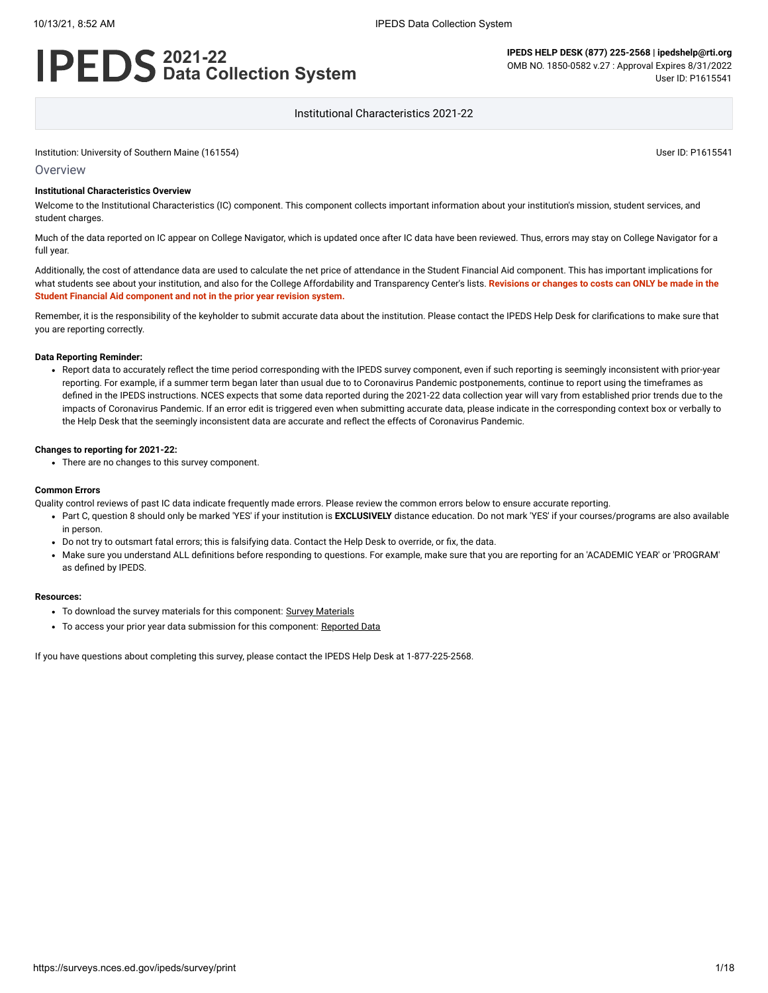# **2021-22 Data Collection System**

**IPEDS HELP DESK (877) 225-2568 | ipedshelp@rti.org** OMB NO. 1850-0582 v.27 : Approval Expires 8/31/2022 User ID: P1615541

Institutional Characteristics 2021-22

Institution: University of Southern Maine (161554) User ID: P1615541

#### **Overview**

### **Institutional Characteristics Overview**

Welcome to the Institutional Characteristics (IC) component. This component collects important information about your institution's mission, student services, and student charges.

Much of the data reported on IC appear on College Navigator, which is updated once after IC data have been reviewed. Thus, errors may stay on College Navigator for a full year.

Additionally, the cost of attendance data are used to calculate the net price of attendance in the Student Financial Aid component. This has important implications for what students see about your institution, and also for the College Affordability and Transparency Center's lists. **Revisions or changes to costs can ONLY be made in the Student Financial Aid component and not in the prior year revision system.**

Remember, it is the responsibility of the keyholder to submit accurate data about the institution. Please contact the IPEDS Help Desk for clarifications to make sure that you are reporting correctly.

#### **Data Reporting Reminder:**

• Report data to accurately reflect the time period corresponding with the IPEDS survey component, even if such reporting is seemingly inconsistent with prior-year reporting. For example, if a summer term began later than usual due to to Coronavirus Pandemic postponements, continue to report using the timeframes as defined in the IPEDS instructions. NCES expects that some data reported during the 2021-22 data collection year will vary from established prior trends due to the impacts of Coronavirus Pandemic. If an error edit is triggered even when submitting accurate data, please indicate in the corresponding context box or verbally to the Help Desk that the seemingly inconsistent data are accurate and reflect the effects of Coronavirus Pandemic.

#### **Changes to reporting for 2021-22:**

There are no changes to this survey component.

#### **Common Errors**

Quality control reviews of past IC data indicate frequently made errors. Please review the common errors below to ensure accurate reporting.

- Part C, question 8 should only be marked 'YES' if your institution is **EXCLUSIVELY** distance education. Do not mark 'YES' if your courses/programs are also available in person.
- Do not try to outsmart fatal errors; this is falsifying data. Contact the Help Desk to override, or fix, the data.
- Make sure you understand ALL definitions before responding to questions. For example, make sure that you are reporting for an 'ACADEMIC YEAR' or 'PROGRAM' as defined by IPEDS.

#### **Resources:**

- To download the survey materials for this component: Survey [Materials](https://surveys.nces.ed.gov/ipeds/public/survey-materials/index)
- To access your prior year data submission for this component: [Reported Data](javascript:openReportedData(161554, 11))

If you have questions about completing this survey, please contact the IPEDS Help Desk at 1-877-225-2568.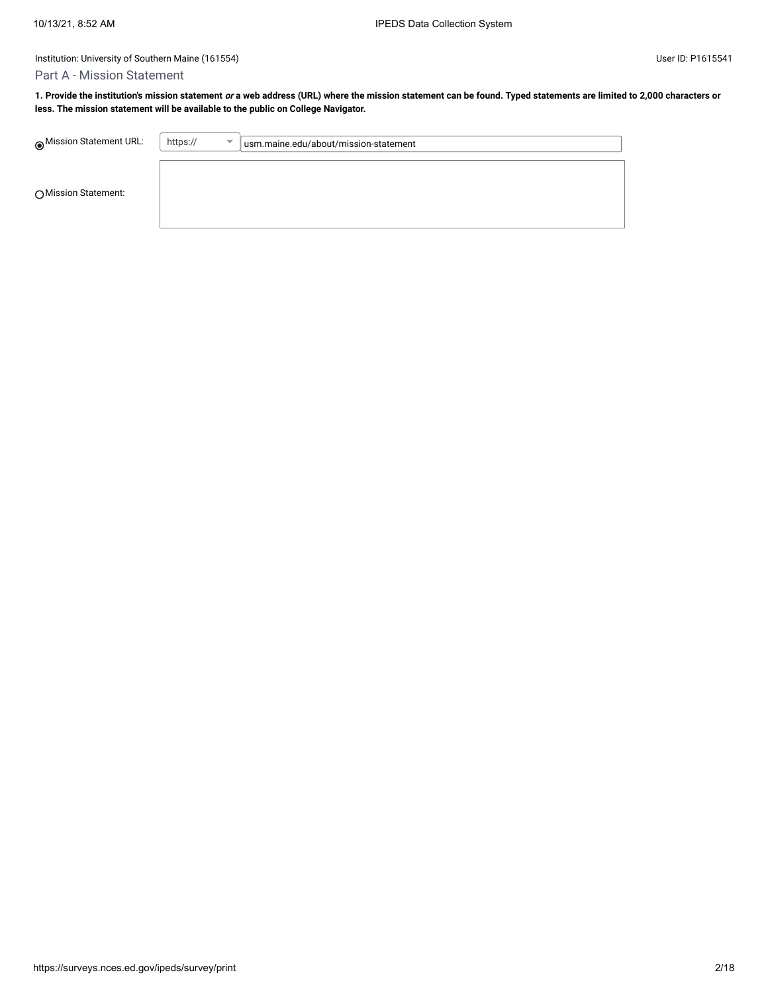## Part A - Mission Statement

**1. Provide the institution's mission statement or a web address (URL) where the mission statement can be found. Typed statements are limited to 2,000 characters or less. The mission statement will be available to the public on College Navigator.**

| Mission Statement URL: | https:// | $\overline{\phantom{0}}$ | usm.maine.edu/about/mission-statement |
|------------------------|----------|--------------------------|---------------------------------------|
| ○ Mission Statement:   |          |                          |                                       |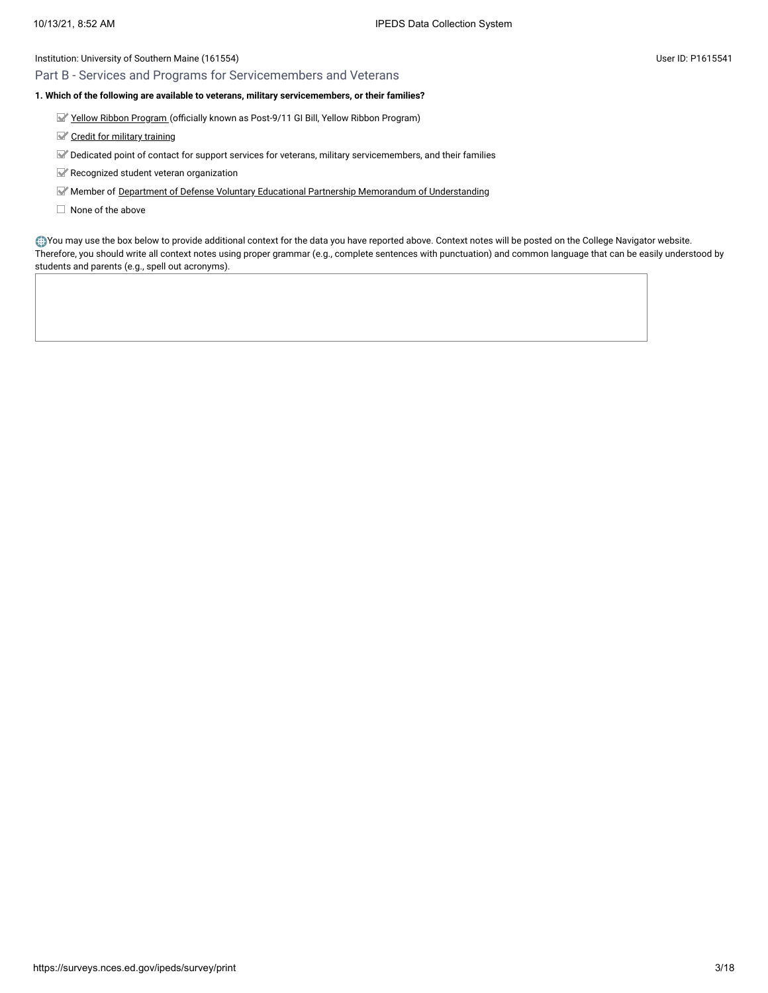## Part B - Services and Programs for Servicemembers and Veterans

#### **1. Which of the following are available to veterans, military servicemembers, or their families?**

Yellow [Ribbon Program \(](javascript:openglossary(1044))officially known as Post-9/11 GI Bill, Yellow Ribbon Program)

- Credit for military [training](javascript:openglossary(1047))
- Dedicated point of contact for support services for veterans, military servicemembers, and their families
- Recognized student veteran organization
- Member of Department of [Defense Voluntary](javascript:openglossary(1069)) Educational Partnership Memorandum of Understanding
- $\Box$  None of the above

You may use the box below to provide additional context for the data you have reported above. Context notes will be posted on the College Navigator website. Therefore, you should write all context notes using proper grammar (e.g., complete sentences with punctuation) and common language that can be easily understood by students and parents (e.g., spell out acronyms).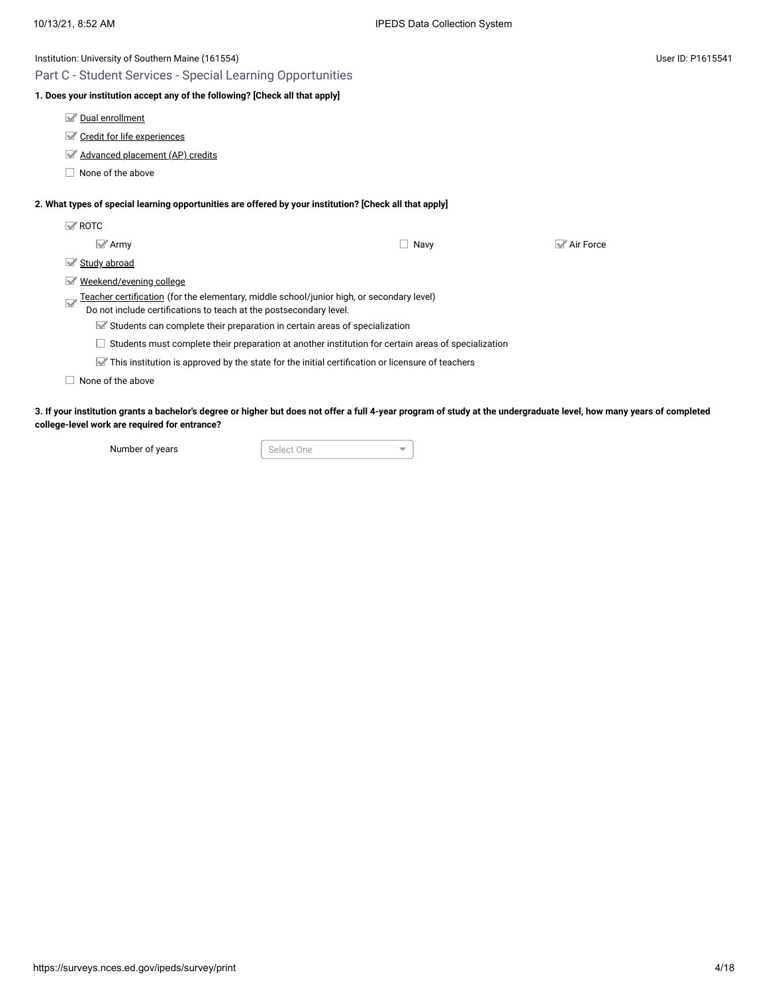| Institution: University of Southern Maine (161554)                                                                                                                     |      | User ID: P1615541      |
|------------------------------------------------------------------------------------------------------------------------------------------------------------------------|------|------------------------|
| Part C - Student Services - Special Learning Opportunities                                                                                                             |      |                        |
| 1. Does your institution accept any of the following? [Check all that apply]                                                                                           |      |                        |
| Dual enrollment<br>M                                                                                                                                                   |      |                        |
| Credit for life experiences                                                                                                                                            |      |                        |
| Advanced placement (AP) credits<br>M                                                                                                                                   |      |                        |
| None of the above                                                                                                                                                      |      |                        |
| 2. What types of special learning opportunities are offered by your institution? [Check all that apply]                                                                |      |                        |
| $\mathbb{Z}$ ROTC                                                                                                                                                      |      |                        |
| $\mathbb{Z}$ Army                                                                                                                                                      | Navy | $\mathbb{Z}$ Air Force |
| Study abroad                                                                                                                                                           |      |                        |
| Weekend/evening college<br>M                                                                                                                                           |      |                        |
| <u>Teacher certification</u> (for the elementary, middle school/junior high, or secondary level)<br>Do not include certifications to teach at the postsecondary level. |      |                        |
| Students can complete their preparation in certain areas of specialization                                                                                             |      |                        |
| Students must complete their preparation at another institution for certain areas of specialization                                                                    |      |                        |
| $\blacktriangleright$ This institution is approved by the state for the initial certification or licensure of teachers                                                 |      |                        |
| None of the above                                                                                                                                                      |      |                        |
|                                                                                                                                                                        |      |                        |

**3. If your institution grants a bachelor's degree or higher but does not offer a full 4-year program of study at the undergraduate level, how many years of completed college-level work are required for entrance?**

Number of years Select One

 $\overline{\phantom{a}}$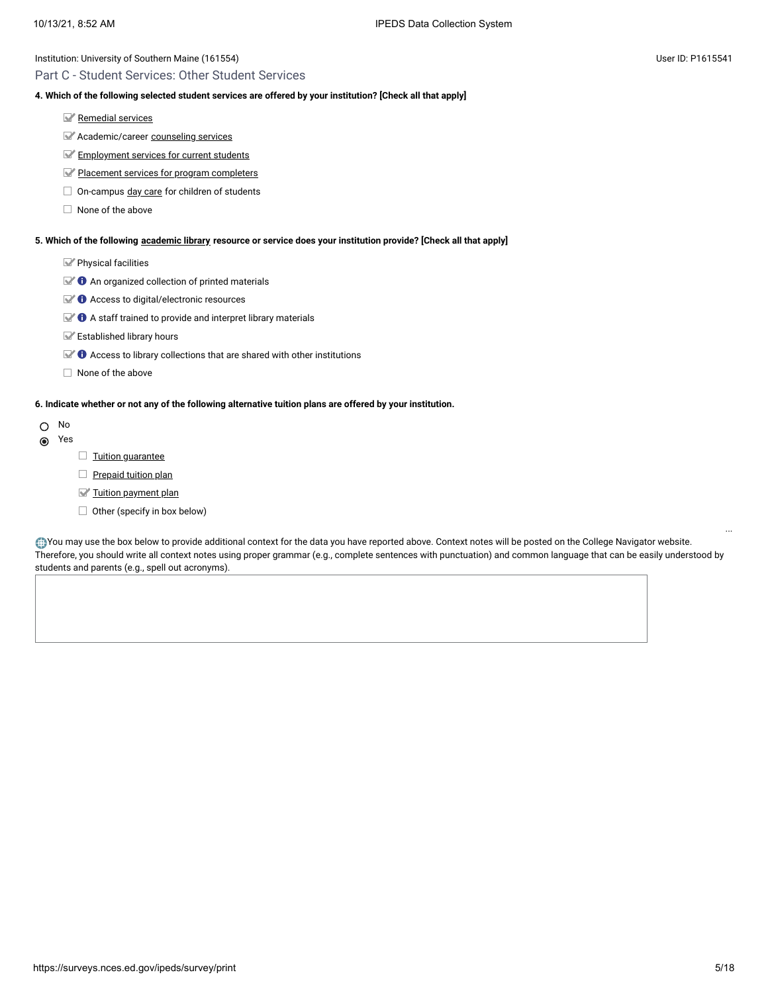## Part C - Student Services: Other Student Services

#### **4. Which of the following selected student services are offered by your institution? [Check all that apply]**

- [Remedial](javascript:openglossary(547)) services
- Academic/career [counseling](javascript:openglossary(149)) services
- **[Employment](javascript:openglossary(195)) services for current students**
- Placement services for [program completers](javascript:openglossary(479))
- $\Box$  On-campus day [care](javascript:openglossary(165)) for children of students
- $\Box$  None of the above

#### **5. Which of the following [academic library](javascript:openglossary(1015)) resource or service does your institution provide? [Check all that apply]**

Physical facilities

- $\blacktriangleright$  **O** An organized collection of printed materials
- $\mathbb{Z}$   $\bullet$  Access to digital/electronic resources
- $\blacktriangleright$  **O** A staff trained to provide and interpret library materials
- Established library hours
- $\mathbb{R}$   $\bullet$  Access to library collections that are shared with other institutions
- $\Box$  None of the above

#### **6. Indicate whether or not any of the following alternative tuition plans are offered by your institution.**

- O No
- Yes
- $\Box$  Tuition quarantee
- $\Box$  [Prepaid tuition plan](javascript:openglossary(950))
- [Tuition payment](javascript:openglossary(951)) plan
- $\Box$  Other (specify in box below)

You may use the box below to provide additional context for the data you have reported above. Context notes will be posted on the College Navigator website. Therefore, you should write all context notes using proper grammar (e.g., complete sentences with punctuation) and common language that can be easily understood by students and parents (e.g., spell out acronyms).

...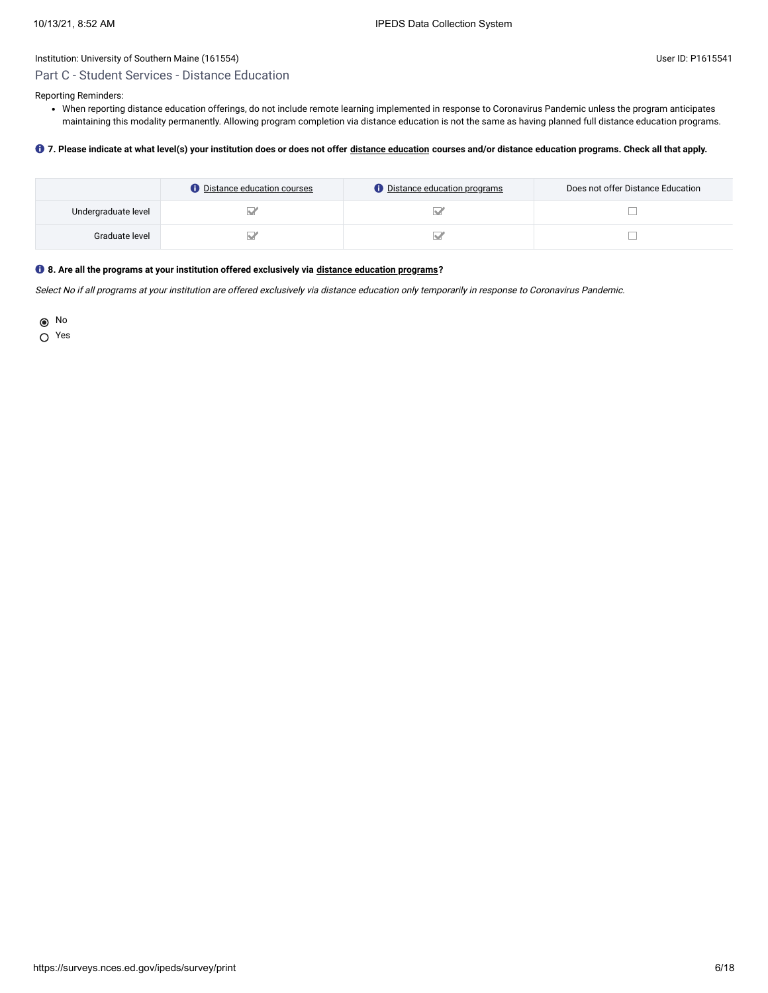## Institution: University of Southern Maine (161554) User ID: P1615541 Part C - Student Services - Distance Education

Reporting Reminders:

When reporting distance education offerings, do not include remote learning implemented in response to Coronavirus Pandemic unless the program anticipates maintaining this modality permanently. Allowing program completion via distance education is not the same as having planned full distance education programs.

### **7. Please indicate at what level(s) your institution does or does not offer [distance education](javascript:openglossary(713)) courses and/or distance education programs. Check all that apply.**

|                     | <b>O</b> Distance education courses | <b><i>O</i></b> Distance education programs | Does not offer Distance Education |
|---------------------|-------------------------------------|---------------------------------------------|-----------------------------------|
| Undergraduate level |                                     |                                             |                                   |
| Graduate level      |                                     |                                             |                                   |

## **8. Are all the programs at your institution offered exclusively via [distance education programs](javascript:openglossary(977))?**

Select No if all programs at your institution are offered exclusively via distance education only temporarily in response to Coronavirus Pandemic.

No

Yes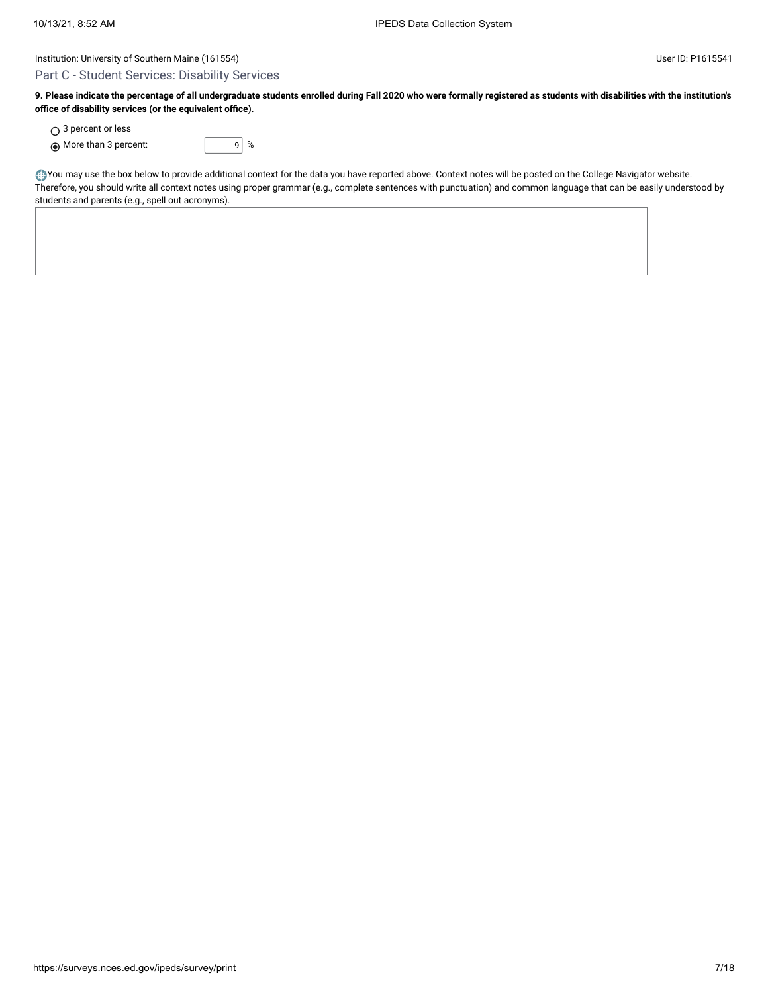## Institution: University of Southern Maine (161554) User ID: P1615541 Part C - Student Services: Disability Services

**9. Please indicate the percentage of all undergraduate students enrolled during Fall 2020 who were formally registered as students with disabilities with the institution's office of disability services (or the equivalent office).**

○ 3 percent or less

• More than 3 percent: 9 %

You may use the box below to provide additional context for the data you have reported above. Context notes will be posted on the College Navigator website. Therefore, you should write all context notes using proper grammar (e.g., complete sentences with punctuation) and common language that can be easily understood by students and parents (e.g., spell out acronyms).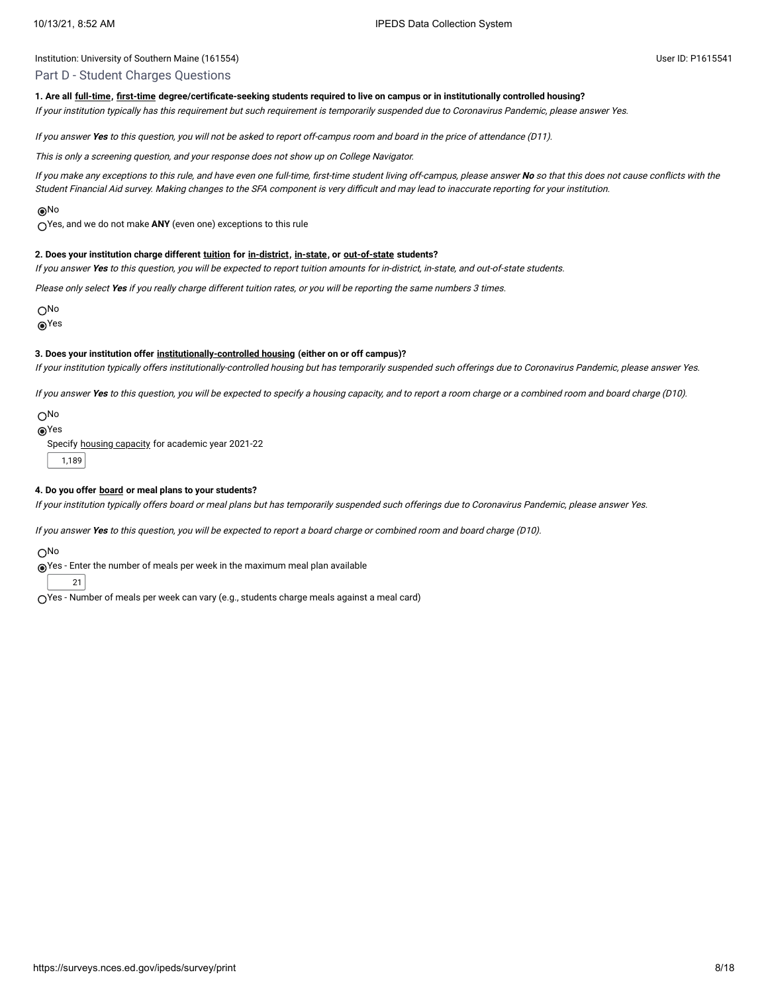#### Part D - Student Charges Questions

#### **1. Are all [full-time,](javascript:openglossary(259)) [first-time](javascript:openglossary(241)) degree/certificate-seeking students required to live on campus or in institutionally controlled housing?**

If your institution typically has this requirement but such requirement is temporarily suspended due to Coronavirus Pandemic, please answer Yes.

If you answer **Yes** to this question, you will not be asked to report off-campus room and board in the price of attendance (D11).

This is only <sup>a</sup> screening question, and your response does not show up on College Navigator.

If you make any exceptions to this rule, and have even one full-time, first-time student living off-campus, please answer **No** so that this does not cause conflicts with the Student Financial Aid survey. Making changes to the SFA component is very difficult and may lead to inaccurate reporting for your institution.

#### No

Yes, and we do not make **ANY** (even one) exceptions to this rule

#### **2. Does your institution charge different [tuition](javascript:openglossary(848)) for [in-district](javascript:openglossary(303)), [in-state,](javascript:openglossary(309)) or [out-of-state](javascript:openglossary(463)) students?**

If you answer **Yes** to this question, you will be expected to report tuition amounts for in-district, in-state, and out-of-state students.

Please only select **Yes** if you really charge different tuition rates, or you will be reporting the same numbers 3 times.

No

**®Yes** 

#### **3. Does your institution offer [institutionally-controlled housing](javascript:openglossary(970)) (either on or off campus)?**

If your institution typically offers institutionally-controlled housing but has temporarily suspended such offerings due to Coronavirus Pandemic, please answer Yes.

If you answer **Yes** to this question, you will be expected to specify <sup>a</sup> housing capacity, and to report <sup>a</sup> room charge or <sup>a</sup> combined room and board charge (D10).

No

Yes

Specify housing [capacity](javascript:openglossary(185)) for academic year 2021-22

1,189

#### **4. Do you offer [board](javascript:openglossary(87)) or meal plans to your students?**

If your institution typically offers board or meal plans but has temporarily suspended such offerings due to Coronavirus Pandemic, please answer Yes.

If you answer **Yes** to this question, you will be expected to report <sup>a</sup> board charge or combined room and board charge (D10).

No

Yes - Enter the number of meals per week in the maximum meal plan available

21

Yes - Number of meals per week can vary (e.g., students charge meals against a meal card)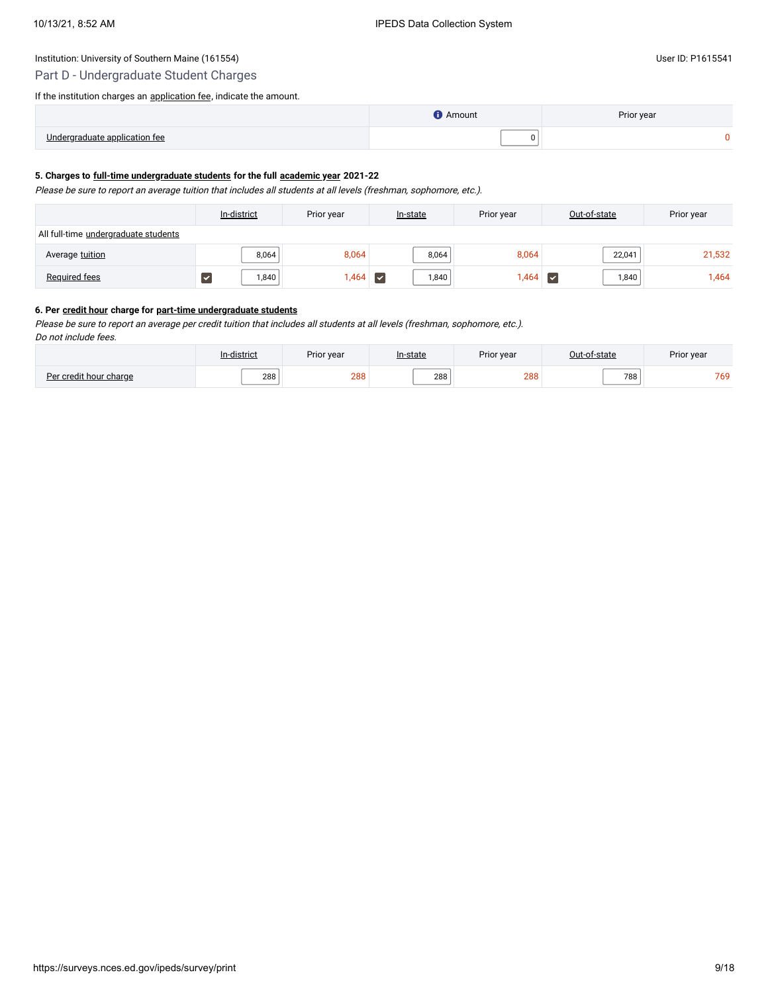## Part D - Undergraduate Student Charges

If the institution charges an **application fee**, indicate the amount.

### **5. Charges to [full-time undergraduate students](javascript:openglossary(259)) for the full [academic year](javascript:openglossary(19)) 2021-22**

Please be sure to report an average tuition that includes all students at all levels (freshman, sophomore, etc.).

|                                             | In-district<br>Prior year |       | Prior year<br>In-state        |       | Out-of-state  | Prior year |
|---------------------------------------------|---------------------------|-------|-------------------------------|-------|---------------|------------|
| All full-time <i>undergraduate</i> students |                           |       |                               |       |               |            |
| Average tuition                             | 8,064                     | 8,064 | 8,064                         | 8,064 | 22,041        | 21,532     |
| Required fees                               | 1,840                     | 1,464 | 1,840<br>$\blacktriangledown$ | 1,464 | ∣ 1,840<br>∣V | 1,464      |

#### **6. Per [credit hour](javascript:openglossary(155)) charge for [part-time undergraduate students](javascript:openglossary(469))**

Please be sure to report an average per credit tuition that includes all students at all levels (freshman, sophomore, etc.).

Do not include fees.

|                        | diatria | Prior year | In-state      | Prior year | ∩ut-of-state | Prior year |
|------------------------|---------|------------|---------------|------------|--------------|------------|
| Der eredit hour charge | 288     | 288        | 288<br>$\sim$ | 288        | 788          | 769        |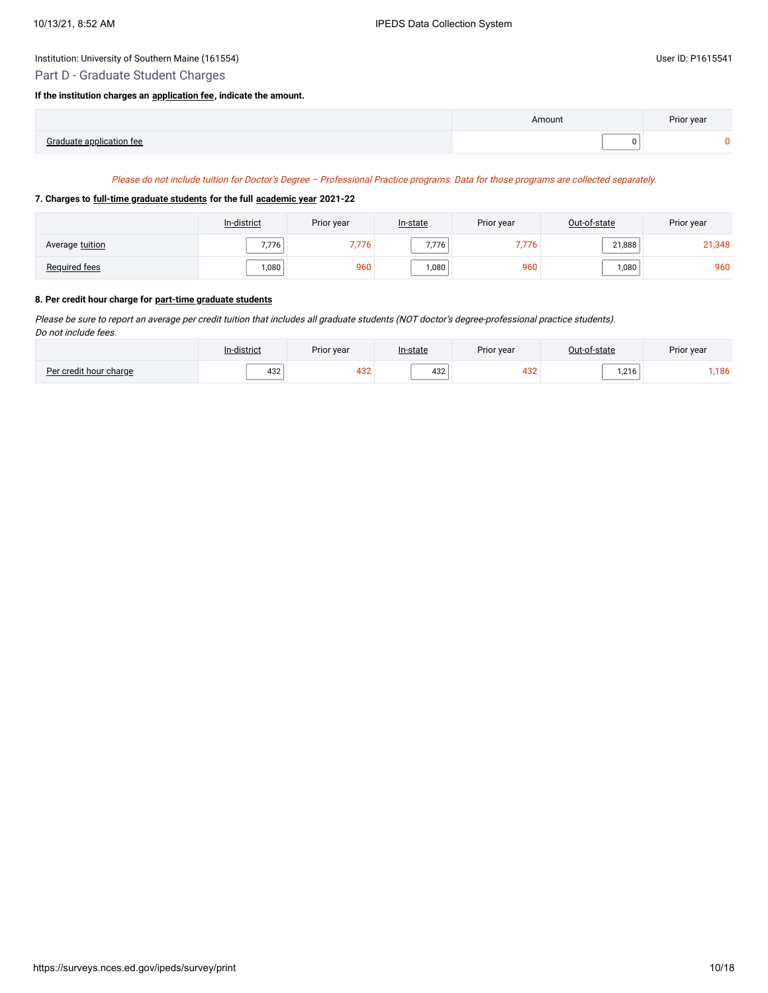### Part D - Graduate Student Charges

#### **If the institution charges an [application fee](javascript:openglossary(47)), indicate the amount.**

|    | Amoun | .1001<br>da: |
|----|-------|--------------|
| ٠. | U     |              |

### Please do not include tuition for Doctor's Degree – Professional Practice programs. Data for those programs are collected separately.

### **7. Charges to [full-time graduate students](javascript:openglossary(259)) for the full [academic year](javascript:openglossary(19)) 2021-22**

|                      | In-district | Prior year | In-state | Prior year | Out-of-state | Prior year |
|----------------------|-------------|------------|----------|------------|--------------|------------|
| Average tuition      | 7.776       | 776        | 7.776    | 776.       | 21,888       | 21,348     |
| <b>Required fees</b> | 1,080       | 960        | 1,080    | 960        | ,080         | 960        |

## **8. Per credit hour charge for [part-time graduate students](javascript:openglossary(469))**

Please be sure to report an average per credit tuition that includes all graduate students (NOT doctor's degree-professional practice students). Do not include fees.

|                        | distric     | Prior year              | In-state   | Prior year     | Out-of-state | Prior year |
|------------------------|-------------|-------------------------|------------|----------------|--------------|------------|
| Per credit hour charge | 100<br>∡د+4 | 10 <sup>2</sup><br>02 L | 100<br>43∠ | $\sim$<br>rv 4 | 1.216        | 186        |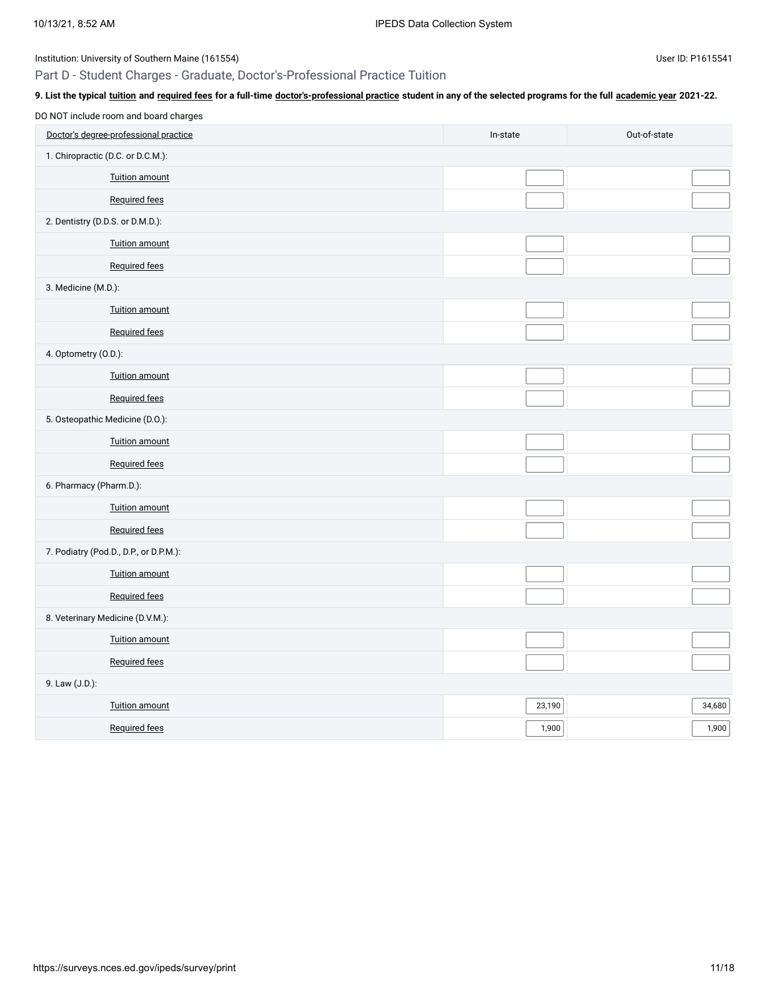## Part D - Student Charges - Graduate, Doctor's-Professional Practice Tuition

| DO NOT include room and board charges  |          |              |
|----------------------------------------|----------|--------------|
| Doctor's degree-professional practice  | In-state | Out-of-state |
| 1. Chiropractic (D.C. or D.C.M.):      |          |              |
| <b>Tuition amount</b>                  |          |              |
| Required fees                          |          |              |
| 2. Dentistry (D.D.S. or D.M.D.):       |          |              |
| Tuition amount                         |          |              |
| Required fees                          |          |              |
| 3. Medicine (M.D.):                    |          |              |
| <b>Tuition amount</b>                  |          |              |
| Required fees                          |          |              |
| 4. Optometry (O.D.):                   |          |              |
| <b>Tuition amount</b>                  |          |              |
| Required fees                          |          |              |
| 5. Osteopathic Medicine (D.O.):        |          |              |
| <b>Tuition amount</b>                  |          |              |
| Required fees                          |          |              |
| 6. Pharmacy (Pharm.D.):                |          |              |
| <b>Tuition amount</b>                  |          |              |
| <b>Required fees</b>                   |          |              |
| 7. Podiatry (Pod.D., D.P., or D.P.M.): |          |              |
| Tuition amount                         |          |              |
| Required fees                          |          |              |
| 8. Veterinary Medicine (D.V.M.):       |          |              |
| Tuition amount                         |          |              |
| Required fees                          |          |              |
| 9. Law (J.D.):                         |          |              |
| Tuition amount                         | 23,190   | 34,680       |
| <b>Required fees</b>                   | 1,900    | 1,900        |

9. List the typical [tuition](javascript:openglossary(848)) and [required fees](javascript:openglossary(788)) for a full-time [doctor's-professional practice](javascript:openglossary(942)) student in any of the selected programs for the full [academic year](javascript:openglossary(19)) 2021-22.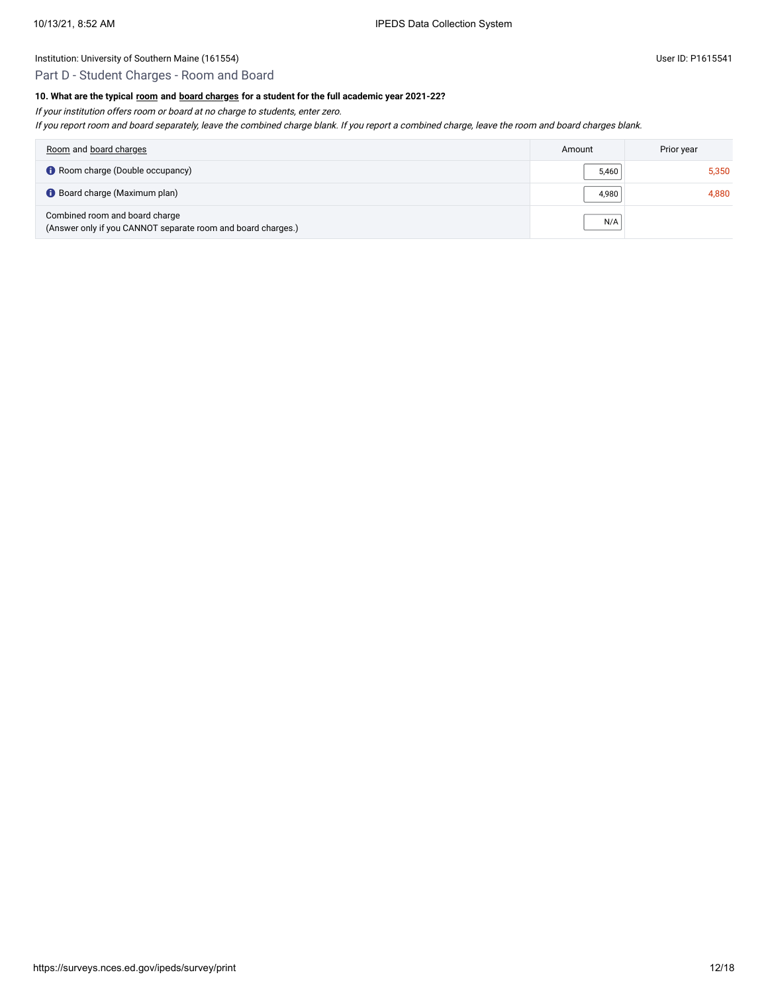## Part D - Student Charges - Room and Board

### **10. What are the typical [room](javascript:openglossary(565)) and [board charges](javascript:openglossary(87)) for a student for the full academic year 2021-22?**

If your institution offers room or board at no charge to students, enter zero.

If you report room and board separately, leave the combined charge blank. If you report <sup>a</sup> combined charge, leave the room and board charges blank.

| Room and board charges                                                                         | Amount | Prior year |
|------------------------------------------------------------------------------------------------|--------|------------|
| Room charge (Double occupancy)                                                                 | 5,460  | 5.350      |
| Board charge (Maximum plan)                                                                    | 4.980  | 4.880      |
| Combined room and board charge<br>(Answer only if you CANNOT separate room and board charges.) | N/A    |            |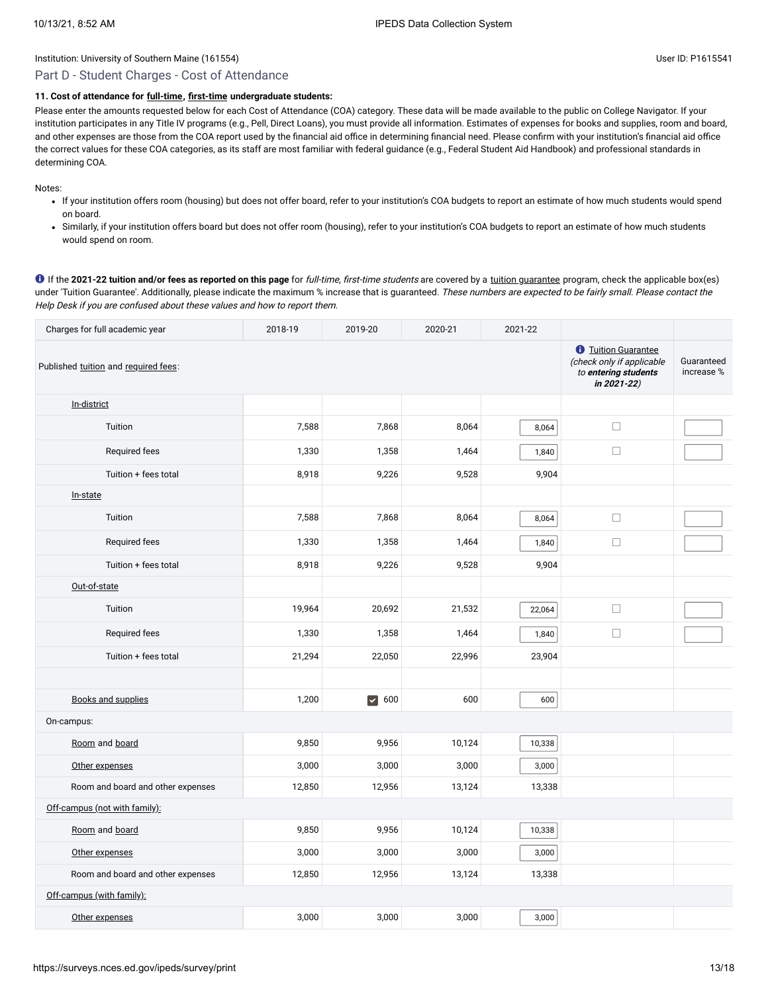### Part D - Student Charges - Cost of Attendance

## **11. Cost of attendance for [full-time](javascript:openglossary(259)), [first-time](javascript:openglossary(241)) undergraduate students:**

Please enter the amounts requested below for each Cost of Attendance (COA) category. These data will be made available to the public on College Navigator. If your institution participates in any Title IV programs (e.g., Pell, Direct Loans), you must provide all information. Estimates of expenses for books and supplies, room and board, and other expenses are those from the COA report used by the financial aid office in determining financial need. Please confirm with your institution's financial aid office the correct values for these COA categories, as its staff are most familiar with federal guidance (e.g., Federal Student Aid Handbook) and professional standards in determining COA.

Notes:

- If your institution offers room (housing) but does not offer board, refer to your institution's COA budgets to report an estimate of how much students would spend on board.
- Similarly, if your institution offers board but does not offer room (housing), refer to your institution's COA budgets to report an estimate of how much students would spend on room.

**If the 2021-22 tuition and/or fees as reported on this page** for full-time, first-time students are covered by a [tuition guarantee](javascript:openglossary(949)) program, check the applicable box(es) under 'Tuition Guarantee'. Additionally, please indicate the maximum % increase that is guaranteed. These numbers are expected to be fairly small. Please contact the Help Desk if you are confused about these values and how to report them.

| Charges for full academic year       | 2018-19 | 2019-20             | 2020-21 | 2021-22 |                                                                                                              |                          |
|--------------------------------------|---------|---------------------|---------|---------|--------------------------------------------------------------------------------------------------------------|--------------------------|
| Published tuition and required fees: |         |                     |         |         | <b><i><u>O</u></i></b> Tuition Guarantee<br>(check only if applicable<br>to entering students<br>in 2021-22) | Guaranteed<br>increase % |
| In-district                          |         |                     |         |         |                                                                                                              |                          |
| Tuition                              | 7,588   | 7,868               | 8,064   | 8,064   | $\Box$                                                                                                       |                          |
| Required fees                        | 1,330   | 1,358               | 1,464   | 1,840   | $\Box$                                                                                                       |                          |
| Tuition + fees total                 | 8,918   | 9,226               | 9,528   | 9,904   |                                                                                                              |                          |
| In-state                             |         |                     |         |         |                                                                                                              |                          |
| Tuition                              | 7,588   | 7,868               | 8,064   | 8,064   | $\Box$                                                                                                       |                          |
| Required fees                        | 1,330   | 1,358               | 1,464   | 1,840   | $\Box$                                                                                                       |                          |
| Tuition + fees total                 | 8,918   | 9,226               | 9,528   | 9,904   |                                                                                                              |                          |
| Out-of-state                         |         |                     |         |         |                                                                                                              |                          |
| Tuition                              | 19,964  | 20,692              | 21,532  | 22,064  | $\Box$                                                                                                       |                          |
| Required fees                        | 1,330   | 1,358               | 1,464   | 1,840   | $\Box$                                                                                                       |                          |
| Tuition + fees total                 | 21,294  | 22,050              | 22,996  | 23,904  |                                                                                                              |                          |
|                                      |         |                     |         |         |                                                                                                              |                          |
| Books and supplies                   | 1,200   | $\triangledown$ 600 | 600     | 600     |                                                                                                              |                          |
| On-campus:                           |         |                     |         |         |                                                                                                              |                          |
| Room and board                       | 9,850   | 9,956               | 10,124  | 10,338  |                                                                                                              |                          |
| Other expenses                       | 3,000   | 3,000               | 3,000   | 3,000   |                                                                                                              |                          |
| Room and board and other expenses    | 12,850  | 12,956              | 13,124  | 13,338  |                                                                                                              |                          |
| Off-campus (not with family):        |         |                     |         |         |                                                                                                              |                          |
| Room and board                       | 9,850   | 9,956               | 10,124  | 10,338  |                                                                                                              |                          |
| Other expenses                       | 3,000   | 3,000               | 3,000   | 3,000   |                                                                                                              |                          |
| Room and board and other expenses    | 12,850  | 12,956              | 13,124  | 13,338  |                                                                                                              |                          |
| Off-campus (with family):            |         |                     |         |         |                                                                                                              |                          |
| Other expenses                       | 3,000   | 3,000               | 3,000   | 3,000   |                                                                                                              |                          |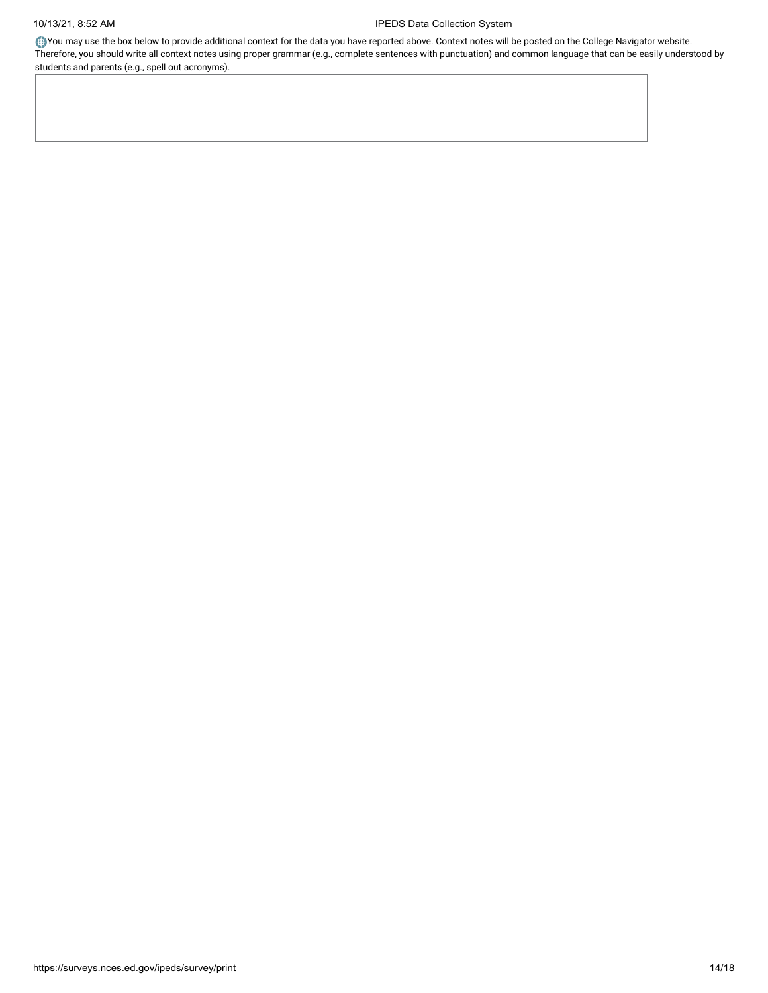### 10/13/21, 8:52 AM IPEDS Data Collection System

You may use the box below to provide additional context for the data you have reported above. Context notes will be posted on the College Navigator website. Therefore, you should write all context notes using proper grammar (e.g., complete sentences with punctuation) and common language that can be easily understood by students and parents (e.g., spell out acronyms).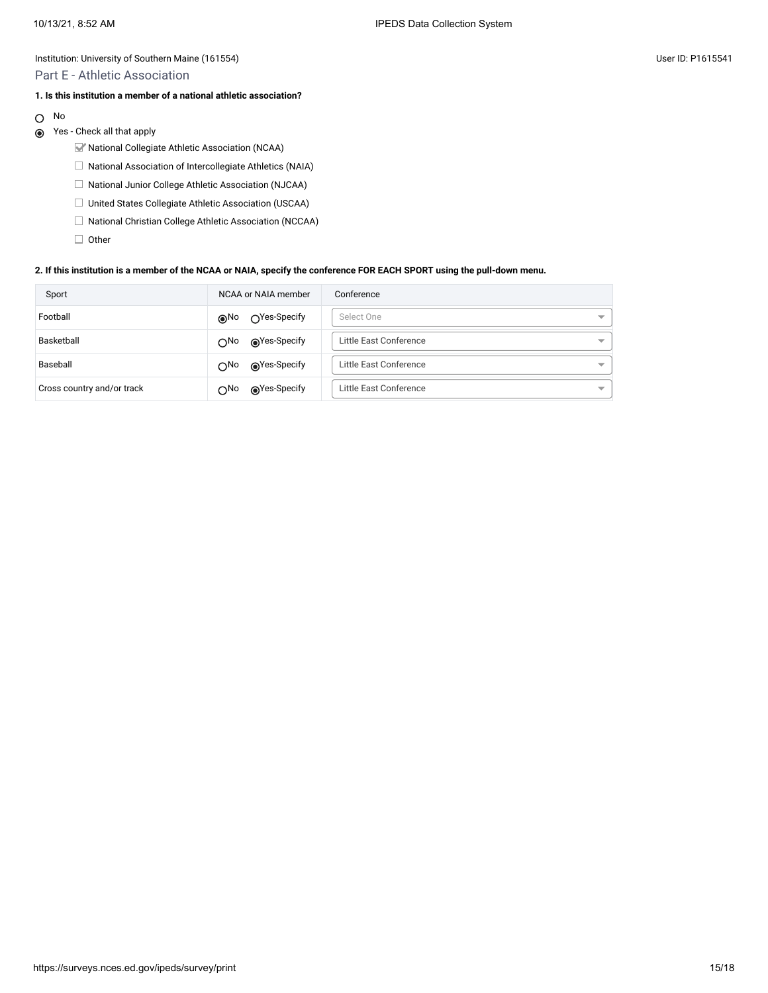#### Part E - Athletic Association

### **1. Is this institution a member of a national athletic association?**

- No  $\circ$
- Yes Check all that apply
	- National Collegiate Athletic Association (NCAA)
	- $\Box$  National Association of Intercollegiate Athletics (NAIA)
	- □ National Junior College Athletic Association (NJCAA)
	- □ United States Collegiate Athletic Association (USCAA)
	- □ National Christian College Athletic Association (NCCAA)

 $\Box$  Other

#### **2. If this institution is a member of the NCAA or NAIA, specify the conference FOR EACH SPORT using the pull-down menu.**

| Sport                      | NCAA or NAIA member                          | Conference                                         |
|----------------------------|----------------------------------------------|----------------------------------------------------|
| Football                   | ∩Yes-Specify<br>⊚No                          | Select One                                         |
| Basketball                 | ⊚Yes-Specify<br>$\bigcap$ No                 | Little East Conference                             |
| Baseball                   | ⊚Yes-Specify<br>$\bigcap$ No                 | Little East Conference<br>$\overline{\phantom{a}}$ |
| Cross country and/or track | sYes-Specify notice Specify®<br>$\bigcap$ No | Little East Conference<br>$\overline{\phantom{a}}$ |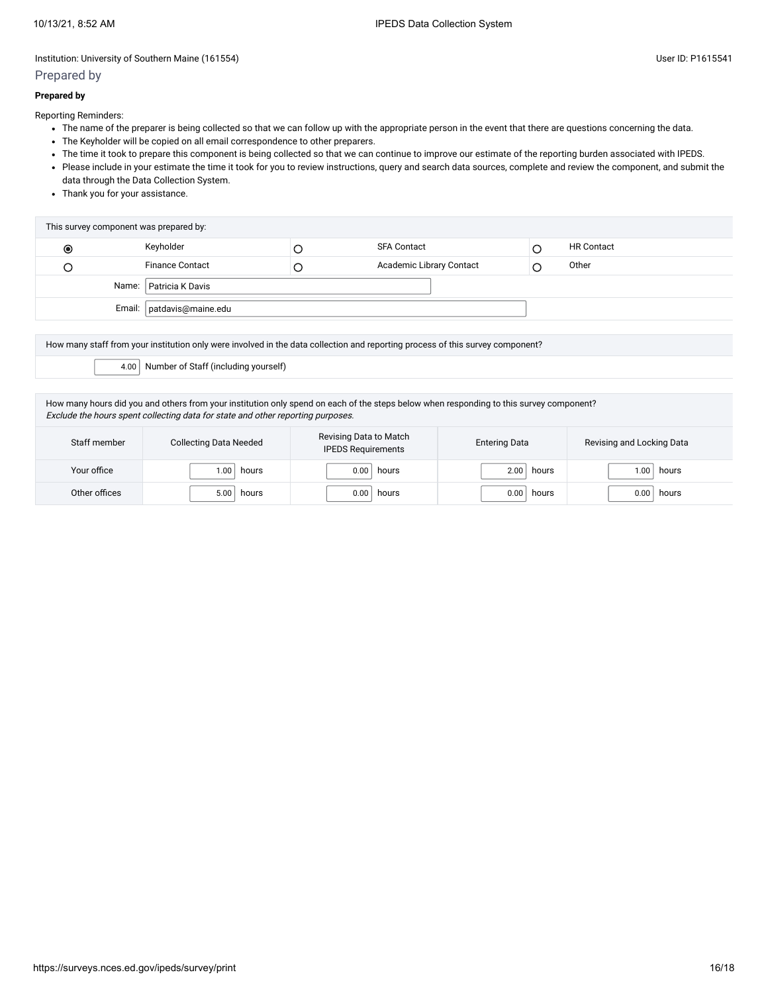## Prepared by

Reporting Reminders:

- The name of the preparer is being collected so that we can follow up with the appropriate person in the event that there are questions concerning the data.
- The Keyholder will be copied on all email correspondence to other preparers.
- The time it took to prepare this component is being collected so that we can continue to improve our estimate of the reporting burden associated with IPEDS.
- Please include in your estimate the time it took for you to review instructions, query and search data sources, complete and review the component, and submit the data through the Data Collection System.
- Thank you for your assistance.

| Keyholder<br><b>HR Contact</b><br><b>SFA Contact</b><br>$_{\circ}$ |  |
|--------------------------------------------------------------------|--|
| <b>Finance Contact</b><br>Academic Library Contact<br>Other        |  |
| Name: Patricia K Davis                                             |  |
| Email:   patdavis@maine.edu                                        |  |

How many staff from your institution only were involved in the data collection and reporting process of this survey component?

4.00 Number of Staff (including yourself)

How many hours did you and others from your institution only spend on each of the steps below when responding to this survey component? Exclude the hours spent collecting data for state and other reporting purposes.

| Staff member  | <b>Collecting Data Needed</b> | Revising Data to Match<br><b>IPEDS Requirements</b> | <b>Entering Data</b> | Revising and Locking Data |
|---------------|-------------------------------|-----------------------------------------------------|----------------------|---------------------------|
| Your office   | 1.00                          | 0.00                                                | hours                | hours                     |
|               | hours                         | hours                                               | 2.00                 | .00 <sub>1</sub>          |
| Other offices | 5.00                          | 0.00                                                | 0.00                 | 0.00                      |
|               | hours                         | hours                                               | hours                | hours                     |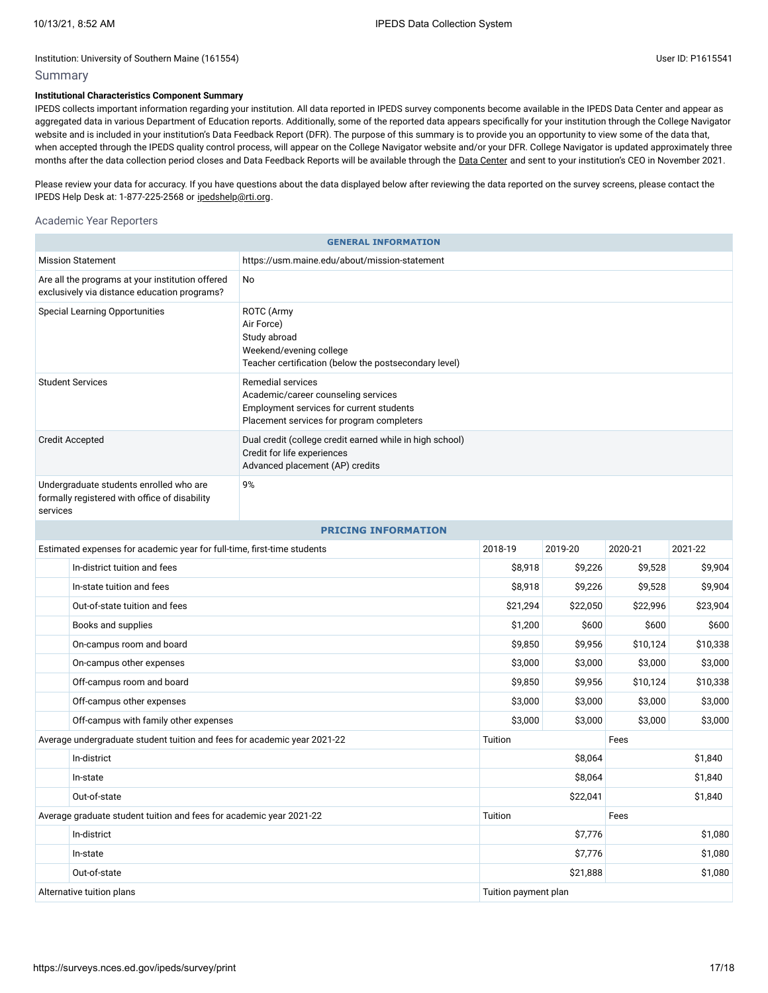#### Summary

### **Institutional Characteristics Component Summary**

IPEDS collects important information regarding your institution. All data reported in IPEDS survey components become available in the IPEDS Data Center and appear as aggregated data in various Department of Education reports. Additionally, some of the reported data appears specifically for your institution through the College Navigator website and is included in your institution's Data Feedback Report (DFR). The purpose of this summary is to provide you an opportunity to view some of the data that, when accepted through the IPEDS quality control process, will appear on the College Navigator website and/or your DFR. College Navigator is updated approximately three months after the data collection period closes and Data Feedback Reports will be available through the Data [Center](https://nces.ed.gov/ipeds/use-the-data) and sent to your institution's CEO in November 2021.

Please review your data for accuracy. If you have questions about the data displayed below after reviewing the data reported on the survey screens, please contact the IPEDS Help Desk at: 1-877-225-2568 or [ipedshelp@rti.org.](mailto:ipedshelp@rti.org)

#### Academic Year Reporters

| <b>GENERAL INFORMATION</b> |                                                                                                                                                      |                                                                                                                                                          |          |          |          |          |  |
|----------------------------|------------------------------------------------------------------------------------------------------------------------------------------------------|----------------------------------------------------------------------------------------------------------------------------------------------------------|----------|----------|----------|----------|--|
|                            | <b>Mission Statement</b>                                                                                                                             | https://usm.maine.edu/about/mission-statement                                                                                                            |          |          |          |          |  |
|                            | Are all the programs at your institution offered<br>exclusively via distance education programs?                                                     | No.                                                                                                                                                      |          |          |          |          |  |
|                            | <b>Special Learning Opportunities</b>                                                                                                                | ROTC (Army<br>Air Force)<br>Study abroad<br>Weekend/evening college<br>Teacher certification (below the postsecondary level)                             |          |          |          |          |  |
|                            | <b>Student Services</b>                                                                                                                              | <b>Remedial services</b><br>Academic/career counseling services<br>Employment services for current students<br>Placement services for program completers |          |          |          |          |  |
|                            | Dual credit (college credit earned while in high school)<br><b>Credit Accepted</b><br>Credit for life experiences<br>Advanced placement (AP) credits |                                                                                                                                                          |          |          |          |          |  |
|                            | Undergraduate students enrolled who are<br>9%<br>formally registered with office of disability<br>services                                           |                                                                                                                                                          |          |          |          |          |  |
|                            | <b>PRICING INFORMATION</b>                                                                                                                           |                                                                                                                                                          |          |          |          |          |  |
|                            | Estimated expenses for academic year for full-time, first-time students                                                                              |                                                                                                                                                          | 2018-19  | 2019-20  | 2020-21  | 2021-22  |  |
|                            | In-district tuition and fees                                                                                                                         |                                                                                                                                                          | \$8,918  | \$9,226  | \$9,528  | \$9,904  |  |
|                            | In-state tuition and fees                                                                                                                            |                                                                                                                                                          | \$8,918  | \$9,226  | \$9,528  | \$9,904  |  |
|                            | Out-of-state tuition and fees                                                                                                                        |                                                                                                                                                          | \$21,294 | \$22,050 | \$22,996 | \$23,904 |  |
|                            | Books and supplies                                                                                                                                   |                                                                                                                                                          | \$1,200  | \$600    | \$600    | \$600    |  |
|                            | On-campus room and board                                                                                                                             |                                                                                                                                                          | \$9,850  | \$9,956  | \$10,124 | \$10,338 |  |
|                            | On-campus other expenses                                                                                                                             |                                                                                                                                                          | \$3,000  | \$3,000  | \$3,000  | \$3,000  |  |
|                            | Off-campus room and board                                                                                                                            |                                                                                                                                                          | \$9,850  | \$9,956  | \$10,124 | \$10,338 |  |
|                            | Off-campus other expenses                                                                                                                            |                                                                                                                                                          | \$3,000  | \$3,000  | \$3,000  | \$3,000  |  |
|                            | Off-campus with family other expenses                                                                                                                |                                                                                                                                                          | \$3,000  | \$3,000  | \$3,000  | \$3,000  |  |
|                            | Average undergraduate student tuition and fees for academic year 2021-22                                                                             |                                                                                                                                                          | Tuition  |          | Fees     |          |  |
|                            |                                                                                                                                                      |                                                                                                                                                          |          |          |          |          |  |

| Average undergraduate student tuition and fees for academic year 2021-22 |                                                                     | Tuition              | Fees    |  |
|--------------------------------------------------------------------------|---------------------------------------------------------------------|----------------------|---------|--|
|                                                                          | In-district                                                         | \$8,064              | \$1,840 |  |
|                                                                          | In-state                                                            | \$8,064              | \$1,840 |  |
|                                                                          | Out-of-state                                                        | \$22,041             | \$1,840 |  |
|                                                                          | Average graduate student tuition and fees for academic year 2021-22 | Tuition              | Fees    |  |
|                                                                          | In-district                                                         | \$7,776              | \$1,080 |  |
|                                                                          | In-state                                                            | \$7,776              | \$1,080 |  |
|                                                                          | Out-of-state                                                        | \$21,888             | \$1,080 |  |
| Alternative tuition plans                                                |                                                                     | Tuition payment plan |         |  |